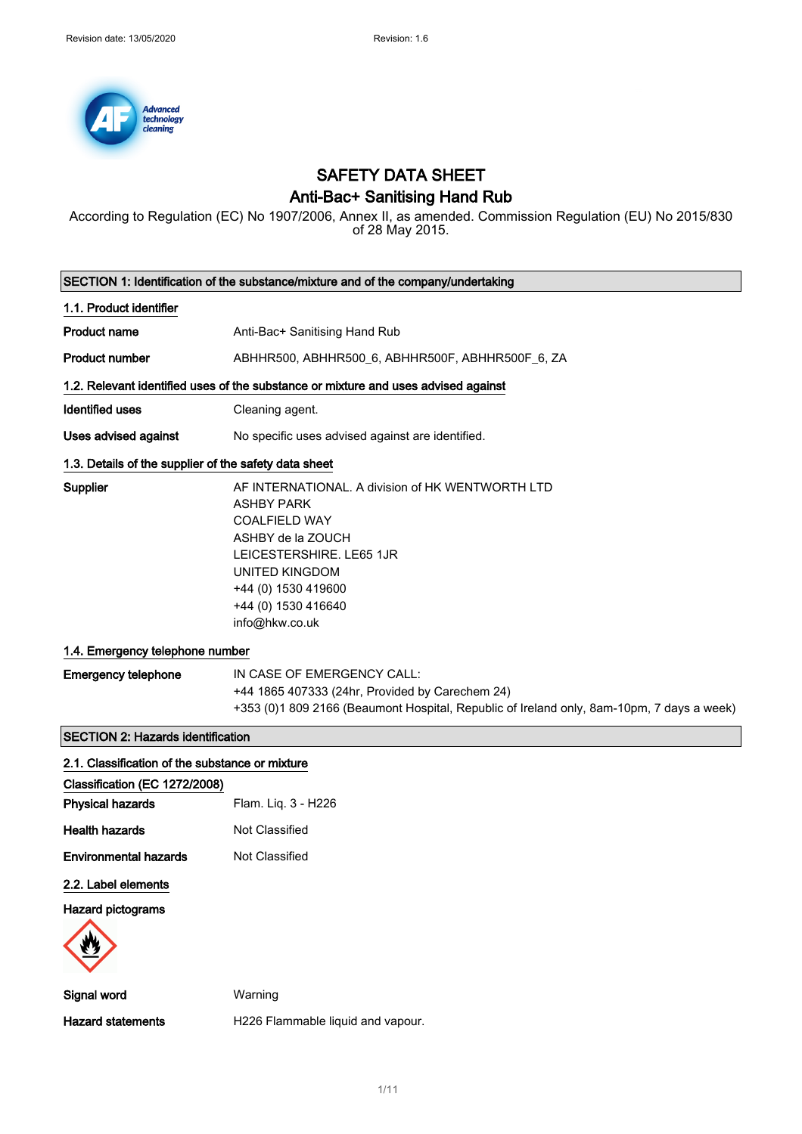

# SAFETY DATA SHEET

### Anti-Bac+ Sanitising Hand Rub

According to Regulation (EC) No 1907/2006, Annex II, as amended. Commission Regulation (EU) No 2015/830 of 28 May 2015.

| SECTION 1: Identification of the substance/mixture and of the company/undertaking |                                                                                                                                                                                                                                         |  |
|-----------------------------------------------------------------------------------|-----------------------------------------------------------------------------------------------------------------------------------------------------------------------------------------------------------------------------------------|--|
| 1.1. Product identifier                                                           |                                                                                                                                                                                                                                         |  |
| <b>Product name</b>                                                               | Anti-Bac+ Sanitising Hand Rub                                                                                                                                                                                                           |  |
| <b>Product number</b>                                                             | ABHHR500, ABHHR500_6, ABHHR500F, ABHHR500F_6, ZA                                                                                                                                                                                        |  |
|                                                                                   | 1.2. Relevant identified uses of the substance or mixture and uses advised against                                                                                                                                                      |  |
| Identified uses                                                                   | Cleaning agent.                                                                                                                                                                                                                         |  |
| Uses advised against                                                              | No specific uses advised against are identified.                                                                                                                                                                                        |  |
| 1.3. Details of the supplier of the safety data sheet                             |                                                                                                                                                                                                                                         |  |
| Supplier                                                                          | AF INTERNATIONAL. A division of HK WENTWORTH LTD<br><b>ASHBY PARK</b><br><b>COALFIELD WAY</b><br>ASHBY de la ZOUCH<br>LEICESTERSHIRE. LE65 1JR<br><b>UNITED KINGDOM</b><br>+44 (0) 1530 419600<br>+44 (0) 1530 416640<br>info@hkw.co.uk |  |
| 1.4. Emergency telephone number                                                   |                                                                                                                                                                                                                                         |  |
| <b>Emergency telephone</b>                                                        | IN CASE OF EMERGENCY CALL:<br>+44 1865 407333 (24hr, Provided by Carechem 24)<br>+353 (0)1 809 2166 (Beaumont Hospital, Republic of Ireland only, 8am-10pm, 7 days a week)                                                              |  |
| <b>SECTION 2: Hazards identification</b>                                          |                                                                                                                                                                                                                                         |  |
| 2.1. Classification of the substance or mixture                                   |                                                                                                                                                                                                                                         |  |
| Classification (EC 1272/2008)<br><b>Physical hazards</b>                          | Flam. Liq. 3 - H226                                                                                                                                                                                                                     |  |
| <b>Health hazards</b>                                                             | Not Classified                                                                                                                                                                                                                          |  |
| <b>Environmental hazards</b>                                                      | Not Classified                                                                                                                                                                                                                          |  |
| 2.2. Label elements                                                               |                                                                                                                                                                                                                                         |  |
| <b>Hazard pictograms</b>                                                          |                                                                                                                                                                                                                                         |  |
|                                                                                   |                                                                                                                                                                                                                                         |  |
| Signal word                                                                       | Warning                                                                                                                                                                                                                                 |  |
| <b>Hazard statements</b>                                                          | H226 Flammable liquid and vapour.                                                                                                                                                                                                       |  |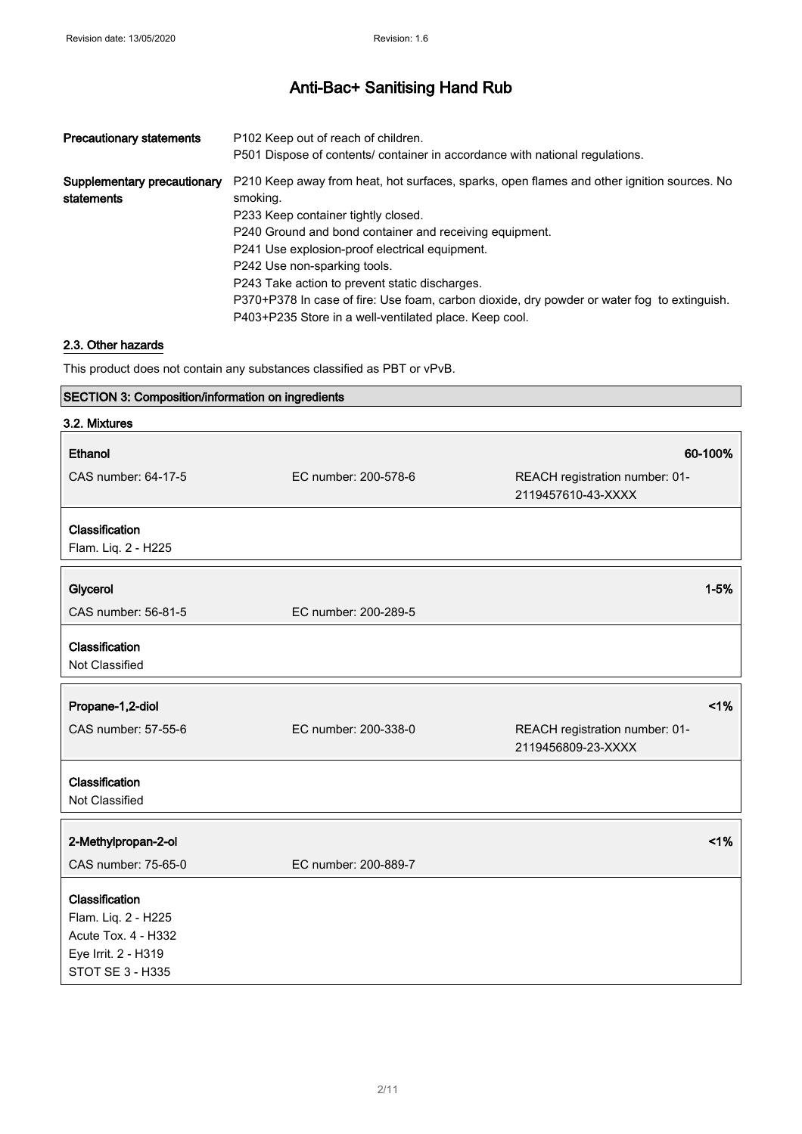| <b>Precautionary statements</b>           | P <sub>102</sub> Keep out of reach of children.<br>P501 Dispose of contents/ container in accordance with national regulations.                                                                                                                                                                                                                                                                                                                                                                       |
|-------------------------------------------|-------------------------------------------------------------------------------------------------------------------------------------------------------------------------------------------------------------------------------------------------------------------------------------------------------------------------------------------------------------------------------------------------------------------------------------------------------------------------------------------------------|
| Supplementary precautionary<br>statements | P210 Keep away from heat, hot surfaces, sparks, open flames and other ignition sources. No<br>smoking.<br>P233 Keep container tightly closed.<br>P240 Ground and bond container and receiving equipment.<br>P241 Use explosion-proof electrical equipment.<br>P242 Use non-sparking tools.<br>P243 Take action to prevent static discharges.<br>P370+P378 In case of fire: Use foam, carbon dioxide, dry powder or water fog to extinguish.<br>P403+P235 Store in a well-ventilated place. Keep cool. |

#### 2.3. Other hazards

This product does not contain any substances classified as PBT or vPvB.

### SECTION 3: Composition/information on ingredients

| 3.2. Mixtures                                                                                           |                      |                                                      |
|---------------------------------------------------------------------------------------------------------|----------------------|------------------------------------------------------|
| <b>Ethanol</b>                                                                                          |                      | 60-100%                                              |
| CAS number: 64-17-5                                                                                     | EC number: 200-578-6 | REACH registration number: 01-<br>2119457610-43-XXXX |
| Classification<br>Flam. Liq. 2 - H225                                                                   |                      |                                                      |
| Glycerol                                                                                                |                      | $1 - 5%$                                             |
| CAS number: 56-81-5                                                                                     | EC number: 200-289-5 |                                                      |
| Classification<br>Not Classified                                                                        |                      |                                                      |
| Propane-1,2-diol                                                                                        |                      | 1%                                                   |
| CAS number: 57-55-6                                                                                     | EC number: 200-338-0 | REACH registration number: 01-<br>2119456809-23-XXXX |
| Classification<br>Not Classified                                                                        |                      |                                                      |
| 2-Methylpropan-2-ol                                                                                     |                      | 1%                                                   |
| CAS number: 75-65-0                                                                                     | EC number: 200-889-7 |                                                      |
| Classification<br>Flam. Liq. 2 - H225<br>Acute Tox. 4 - H332<br>Eye Irrit. 2 - H319<br>STOT SE 3 - H335 |                      |                                                      |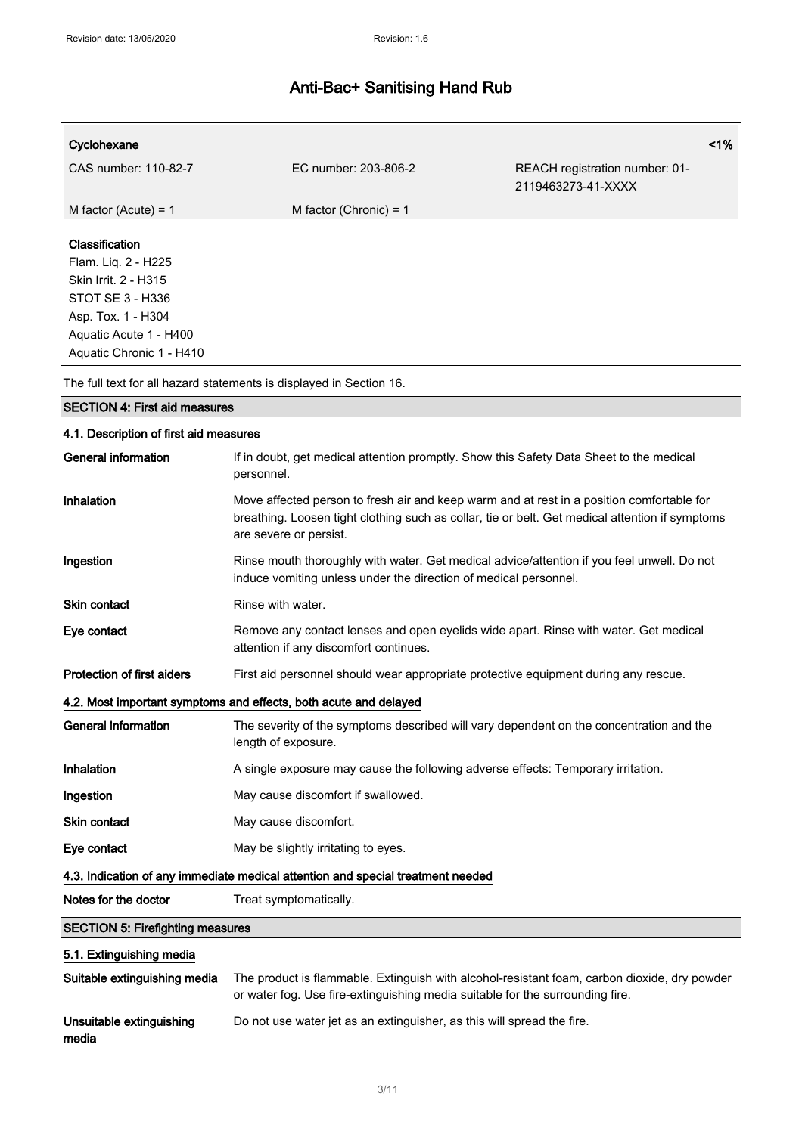| Cyclohexane                                                                                                                                                          |                          |                                                      | $1\%$ |
|----------------------------------------------------------------------------------------------------------------------------------------------------------------------|--------------------------|------------------------------------------------------|-------|
| CAS number: 110-82-7                                                                                                                                                 | EC number: 203-806-2     | REACH registration number: 01-<br>2119463273-41-XXXX |       |
| M factor (Acute) = $1$                                                                                                                                               | M factor (Chronic) = $1$ |                                                      |       |
| <b>Classification</b><br>Flam. Liq. 2 - H225<br>Skin Irrit. 2 - H315<br>STOT SE 3 - H336<br>Asp. Tox. 1 - H304<br>Aquatic Acute 1 - H400<br>Aquatic Chronic 1 - H410 |                          |                                                      |       |

The full text for all hazard statements is displayed in Section 16.

| <b>SECTION 4: First aid measures</b>                                            |                                                                                                                                                                                                                        |  |
|---------------------------------------------------------------------------------|------------------------------------------------------------------------------------------------------------------------------------------------------------------------------------------------------------------------|--|
| 4.1. Description of first aid measures                                          |                                                                                                                                                                                                                        |  |
| <b>General information</b>                                                      | If in doubt, get medical attention promptly. Show this Safety Data Sheet to the medical<br>personnel.                                                                                                                  |  |
| Inhalation                                                                      | Move affected person to fresh air and keep warm and at rest in a position comfortable for<br>breathing. Loosen tight clothing such as collar, tie or belt. Get medical attention if symptoms<br>are severe or persist. |  |
| Ingestion                                                                       | Rinse mouth thoroughly with water. Get medical advice/attention if you feel unwell. Do not<br>induce vomiting unless under the direction of medical personnel.                                                         |  |
| <b>Skin contact</b>                                                             | Rinse with water.                                                                                                                                                                                                      |  |
| Eye contact                                                                     | Remove any contact lenses and open eyelids wide apart. Rinse with water. Get medical<br>attention if any discomfort continues.                                                                                         |  |
| <b>Protection of first aiders</b>                                               | First aid personnel should wear appropriate protective equipment during any rescue.                                                                                                                                    |  |
|                                                                                 | 4.2. Most important symptoms and effects, both acute and delayed                                                                                                                                                       |  |
| <b>General information</b>                                                      | The severity of the symptoms described will vary dependent on the concentration and the<br>length of exposure.                                                                                                         |  |
| Inhalation                                                                      | A single exposure may cause the following adverse effects: Temporary irritation.                                                                                                                                       |  |
| Ingestion                                                                       | May cause discomfort if swallowed.                                                                                                                                                                                     |  |
| <b>Skin contact</b>                                                             | May cause discomfort.                                                                                                                                                                                                  |  |
| Eye contact                                                                     | May be slightly irritating to eyes.                                                                                                                                                                                    |  |
| 4.3. Indication of any immediate medical attention and special treatment needed |                                                                                                                                                                                                                        |  |
| Notes for the doctor                                                            | Treat symptomatically.                                                                                                                                                                                                 |  |
| <b>SECTION 5: Firefighting measures</b>                                         |                                                                                                                                                                                                                        |  |
| 5.1. Extinguishing media                                                        |                                                                                                                                                                                                                        |  |
|                                                                                 |                                                                                                                                                                                                                        |  |

| Suitable extinguishing media      | The product is flammable. Extinguish with alcohol-resistant foam, carbon dioxide, dry powder<br>or water fog. Use fire-extinguishing media suitable for the surrounding fire. |
|-----------------------------------|-------------------------------------------------------------------------------------------------------------------------------------------------------------------------------|
| Unsuitable extinguishing<br>media | Do not use water jet as an extinguisher, as this will spread the fire.                                                                                                        |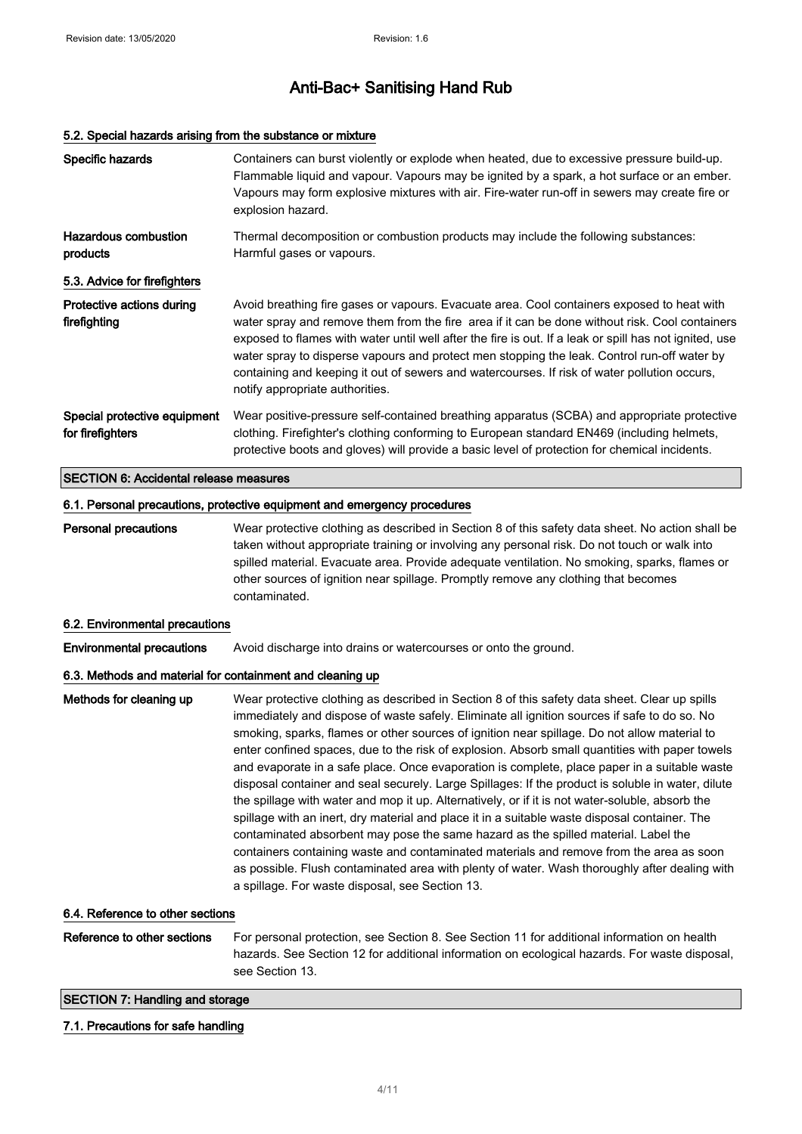#### 5.2. Special hazards arising from the substance or mixture

| Specific hazards                                          | Containers can burst violently or explode when heated, due to excessive pressure build-up.<br>Flammable liquid and vapour. Vapours may be ignited by a spark, a hot surface or an ember.<br>Vapours may form explosive mixtures with air. Fire-water run-off in sewers may create fire or<br>explosion hazard.                                                                                                                                                                                                                                                                                                                                                                                                                                                                                                                                                                                                                                                                                                                                                                                                                                |
|-----------------------------------------------------------|-----------------------------------------------------------------------------------------------------------------------------------------------------------------------------------------------------------------------------------------------------------------------------------------------------------------------------------------------------------------------------------------------------------------------------------------------------------------------------------------------------------------------------------------------------------------------------------------------------------------------------------------------------------------------------------------------------------------------------------------------------------------------------------------------------------------------------------------------------------------------------------------------------------------------------------------------------------------------------------------------------------------------------------------------------------------------------------------------------------------------------------------------|
| <b>Hazardous combustion</b><br>products                   | Thermal decomposition or combustion products may include the following substances:<br>Harmful gases or vapours.                                                                                                                                                                                                                                                                                                                                                                                                                                                                                                                                                                                                                                                                                                                                                                                                                                                                                                                                                                                                                               |
| 5.3. Advice for firefighters                              |                                                                                                                                                                                                                                                                                                                                                                                                                                                                                                                                                                                                                                                                                                                                                                                                                                                                                                                                                                                                                                                                                                                                               |
| Protective actions during<br>firefighting                 | Avoid breathing fire gases or vapours. Evacuate area. Cool containers exposed to heat with<br>water spray and remove them from the fire area if it can be done without risk. Cool containers<br>exposed to flames with water until well after the fire is out. If a leak or spill has not ignited, use<br>water spray to disperse vapours and protect men stopping the leak. Control run-off water by<br>containing and keeping it out of sewers and watercourses. If risk of water pollution occurs,<br>notify appropriate authorities.                                                                                                                                                                                                                                                                                                                                                                                                                                                                                                                                                                                                      |
| Special protective equipment<br>for firefighters          | Wear positive-pressure self-contained breathing apparatus (SCBA) and appropriate protective<br>clothing. Firefighter's clothing conforming to European standard EN469 (including helmets,<br>protective boots and gloves) will provide a basic level of protection for chemical incidents.                                                                                                                                                                                                                                                                                                                                                                                                                                                                                                                                                                                                                                                                                                                                                                                                                                                    |
| <b>SECTION 6: Accidental release measures</b>             |                                                                                                                                                                                                                                                                                                                                                                                                                                                                                                                                                                                                                                                                                                                                                                                                                                                                                                                                                                                                                                                                                                                                               |
|                                                           | 6.1. Personal precautions, protective equipment and emergency procedures                                                                                                                                                                                                                                                                                                                                                                                                                                                                                                                                                                                                                                                                                                                                                                                                                                                                                                                                                                                                                                                                      |
| <b>Personal precautions</b>                               | Wear protective clothing as described in Section 8 of this safety data sheet. No action shall be<br>taken without appropriate training or involving any personal risk. Do not touch or walk into<br>spilled material. Evacuate area. Provide adequate ventilation. No smoking, sparks, flames or<br>other sources of ignition near spillage. Promptly remove any clothing that becomes<br>contaminated.                                                                                                                                                                                                                                                                                                                                                                                                                                                                                                                                                                                                                                                                                                                                       |
| 6.2. Environmental precautions                            |                                                                                                                                                                                                                                                                                                                                                                                                                                                                                                                                                                                                                                                                                                                                                                                                                                                                                                                                                                                                                                                                                                                                               |
| <b>Environmental precautions</b>                          | Avoid discharge into drains or watercourses or onto the ground.                                                                                                                                                                                                                                                                                                                                                                                                                                                                                                                                                                                                                                                                                                                                                                                                                                                                                                                                                                                                                                                                               |
| 6.3. Methods and material for containment and cleaning up |                                                                                                                                                                                                                                                                                                                                                                                                                                                                                                                                                                                                                                                                                                                                                                                                                                                                                                                                                                                                                                                                                                                                               |
| Methods for cleaning up                                   | Wear protective clothing as described in Section 8 of this safety data sheet. Clear up spills<br>immediately and dispose of waste safely. Eliminate all ignition sources if safe to do so. No<br>smoking, sparks, flames or other sources of ignition near spillage. Do not allow material to<br>enter confined spaces, due to the risk of explosion. Absorb small quantities with paper towels<br>and evaporate in a safe place. Once evaporation is complete, place paper in a suitable waste<br>disposal container and seal securely. Large Spillages: If the product is soluble in water, dilute<br>the spillage with water and mop it up. Alternatively, or if it is not water-soluble, absorb the<br>spillage with an inert, dry material and place it in a suitable waste disposal container. The<br>contaminated absorbent may pose the same hazard as the spilled material. Label the<br>containers containing waste and contaminated materials and remove from the area as soon<br>as possible. Flush contaminated area with plenty of water. Wash thoroughly after dealing with<br>a spillage. For waste disposal, see Section 13. |
|                                                           |                                                                                                                                                                                                                                                                                                                                                                                                                                                                                                                                                                                                                                                                                                                                                                                                                                                                                                                                                                                                                                                                                                                                               |

#### 6.4. Reference to other sections

Reference to other sections For personal protection, see Section 8. See Section 11 for additional information on health hazards. See Section 12 for additional information on ecological hazards. For waste disposal, see Section 13.

#### SECTION 7: Handling and storage

#### 7.1. Precautions for safe handling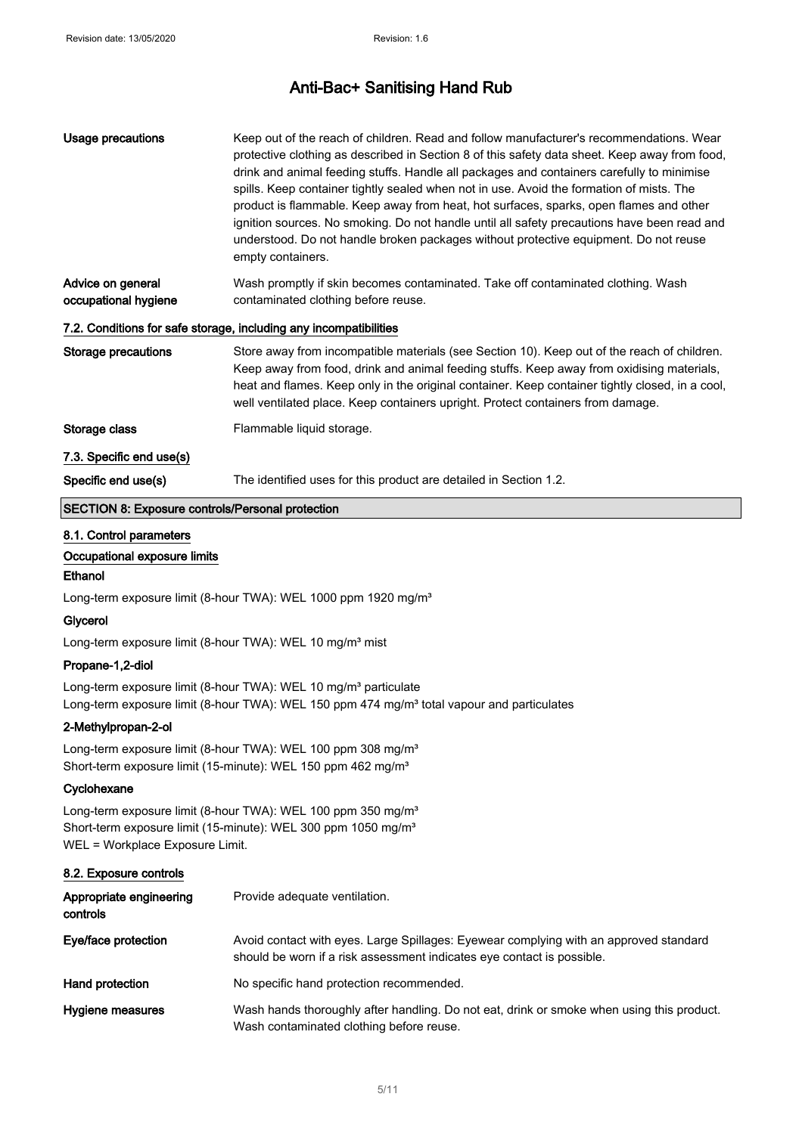| Usage precautions                         | Keep out of the reach of children. Read and follow manufacturer's recommendations. Wear<br>protective clothing as described in Section 8 of this safety data sheet. Keep away from food,<br>drink and animal feeding stuffs. Handle all packages and containers carefully to minimise<br>spills. Keep container tightly sealed when not in use. Avoid the formation of mists. The<br>product is flammable. Keep away from heat, hot surfaces, sparks, open flames and other<br>ignition sources. No smoking. Do not handle until all safety precautions have been read and<br>understood. Do not handle broken packages without protective equipment. Do not reuse<br>empty containers. |
|-------------------------------------------|-----------------------------------------------------------------------------------------------------------------------------------------------------------------------------------------------------------------------------------------------------------------------------------------------------------------------------------------------------------------------------------------------------------------------------------------------------------------------------------------------------------------------------------------------------------------------------------------------------------------------------------------------------------------------------------------|
| Advice on general<br>occupational hygiene | Wash promptly if skin becomes contaminated. Take off contaminated clothing. Wash<br>contaminated clothing before reuse.                                                                                                                                                                                                                                                                                                                                                                                                                                                                                                                                                                 |
|                                           | 7.2. Conditions for safe storage, including any incompatibilities                                                                                                                                                                                                                                                                                                                                                                                                                                                                                                                                                                                                                       |
| Storage precautions                       | Store away from incompatible materials (see Section 10). Keep out of the reach of children.<br>Keep away from food, drink and animal feeding stuffs. Keep away from oxidising materials,<br>heat and flames. Keep only in the original container. Keep container tightly closed, in a cool,<br>well ventilated place. Keep containers upright. Protect containers from damage.                                                                                                                                                                                                                                                                                                          |
| Storage class                             | Flammable liquid storage.                                                                                                                                                                                                                                                                                                                                                                                                                                                                                                                                                                                                                                                               |
| 7.3. Specific end use(s)                  |                                                                                                                                                                                                                                                                                                                                                                                                                                                                                                                                                                                                                                                                                         |
| Specific end use(s)                       | The identified uses for this product are detailed in Section 1.2.                                                                                                                                                                                                                                                                                                                                                                                                                                                                                                                                                                                                                       |

#### SECTION 8: Exposure controls/Personal protection

#### 8.1. Control parameters

#### Occupational exposure limits

#### Ethanol

Long-term exposure limit (8-hour TWA): WEL 1000 ppm 1920 mg/m<sup>3</sup>

#### Glycerol

Long-term exposure limit (8-hour TWA): WEL 10 mg/m<sup>3</sup> mist

#### Propane-1,2-diol

Long-term exposure limit (8-hour TWA): WEL 10 mg/m<sup>3</sup> particulate Long-term exposure limit (8-hour TWA): WEL 150 ppm 474 mg/m<sup>3</sup> total vapour and particulates

#### 2-Methylpropan-2-ol

Long-term exposure limit (8-hour TWA): WEL 100 ppm 308 mg/m<sup>3</sup> Short-term exposure limit (15-minute): WEL 150 ppm 462 mg/m<sup>3</sup>

#### **Cyclohexane**

Long-term exposure limit (8-hour TWA): WEL 100 ppm 350 mg/m<sup>3</sup> Short-term exposure limit (15-minute): WEL 300 ppm 1050 mg/m<sup>3</sup> WEL = Workplace Exposure Limit.

#### 8.2. Exposure controls

| Appropriate engineering<br>controls | Provide adequate ventilation.                                                                                                                                   |
|-------------------------------------|-----------------------------------------------------------------------------------------------------------------------------------------------------------------|
| Eye/face protection                 | Avoid contact with eyes. Large Spillages: Eyewear complying with an approved standard<br>should be worn if a risk assessment indicates eye contact is possible. |
| Hand protection                     | No specific hand protection recommended.                                                                                                                        |
| Hygiene measures                    | Wash hands thoroughly after handling. Do not eat, drink or smoke when using this product.<br>Wash contaminated clothing before reuse.                           |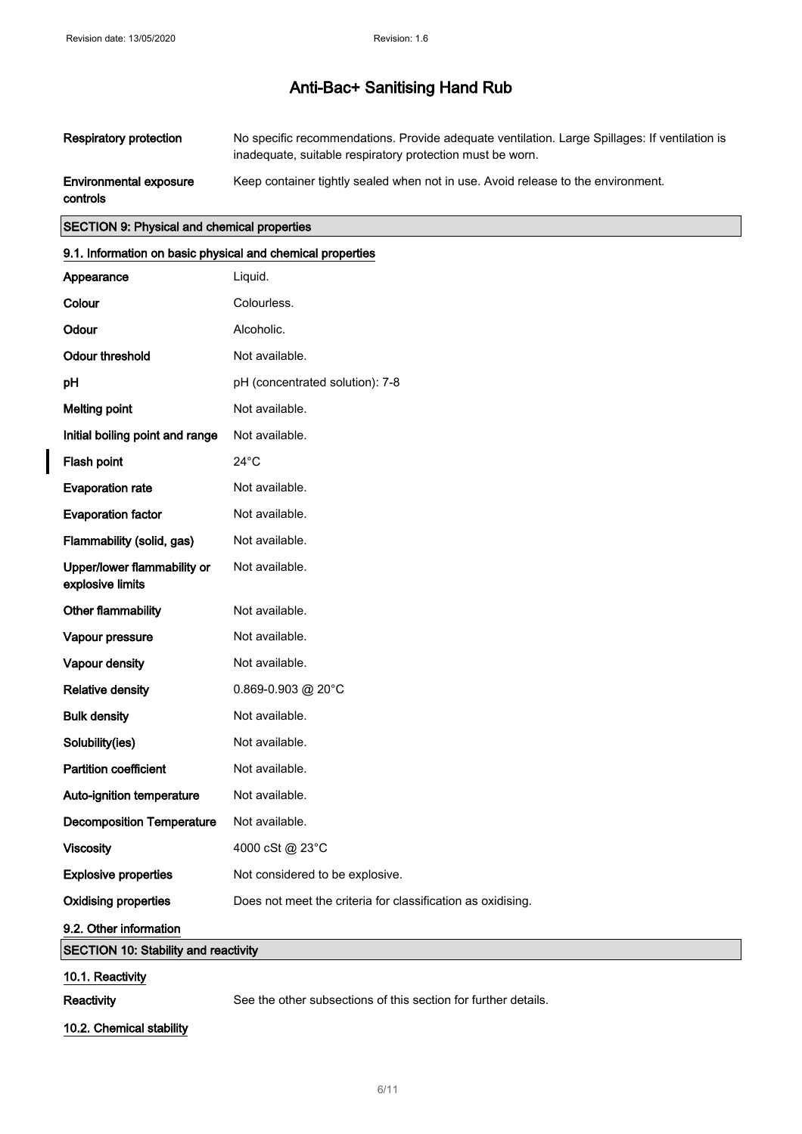| <b>Respiratory protection</b>             | No specific recommendations. Provide adequate ventilation. Large Spillages: If ventilation is<br>inadequate, suitable respiratory protection must be worn. |
|-------------------------------------------|------------------------------------------------------------------------------------------------------------------------------------------------------------|
| <b>Environmental exposure</b><br>controls | Keep container tightly sealed when not in use. Avoid release to the environment.                                                                           |

#### SECTION 9: Physical and chemical properties

#### 9.1. Information on basic physical and chemical properties

| Appearance                                      | Liquid.                                                        |
|-------------------------------------------------|----------------------------------------------------------------|
| Colour                                          | Colourless.                                                    |
| Odour                                           | Alcoholic.                                                     |
| <b>Odour threshold</b>                          | Not available.                                                 |
| pH                                              | pH (concentrated solution): 7-8                                |
| <b>Melting point</b>                            | Not available.                                                 |
| Initial boiling point and range                 | Not available.                                                 |
| Flash point                                     | $24^{\circ}$ C                                                 |
| <b>Evaporation rate</b>                         | Not available.                                                 |
| <b>Evaporation factor</b>                       | Not available.                                                 |
| Flammability (solid, gas)                       | Not available.                                                 |
| Upper/lower flammability or<br>explosive limits | Not available.                                                 |
| Other flammability                              | Not available.                                                 |
| Vapour pressure                                 | Not available.                                                 |
| Vapour density                                  | Not available.                                                 |
| <b>Relative density</b>                         | 0.869-0.903 @ 20°C                                             |
| <b>Bulk density</b>                             | Not available.                                                 |
| Solubility(ies)                                 | Not available.                                                 |
| <b>Partition coefficient</b>                    | Not available.                                                 |
| Auto-ignition temperature                       | Not available.                                                 |
| <b>Decomposition Temperature</b>                | Not available.                                                 |
| <b>Viscosity</b>                                | 4000 cSt @ 23°C                                                |
| <b>Explosive properties</b>                     | Not considered to be explosive.                                |
| <b>Oxidising properties</b>                     | Does not meet the criteria for classification as oxidising.    |
| 9.2. Other information                          |                                                                |
| <b>SECTION 10: Stability and reactivity</b>     |                                                                |
| 10.1. Reactivity                                |                                                                |
| Reactivity                                      | See the other subsections of this section for further details. |

10.2. Chemical stability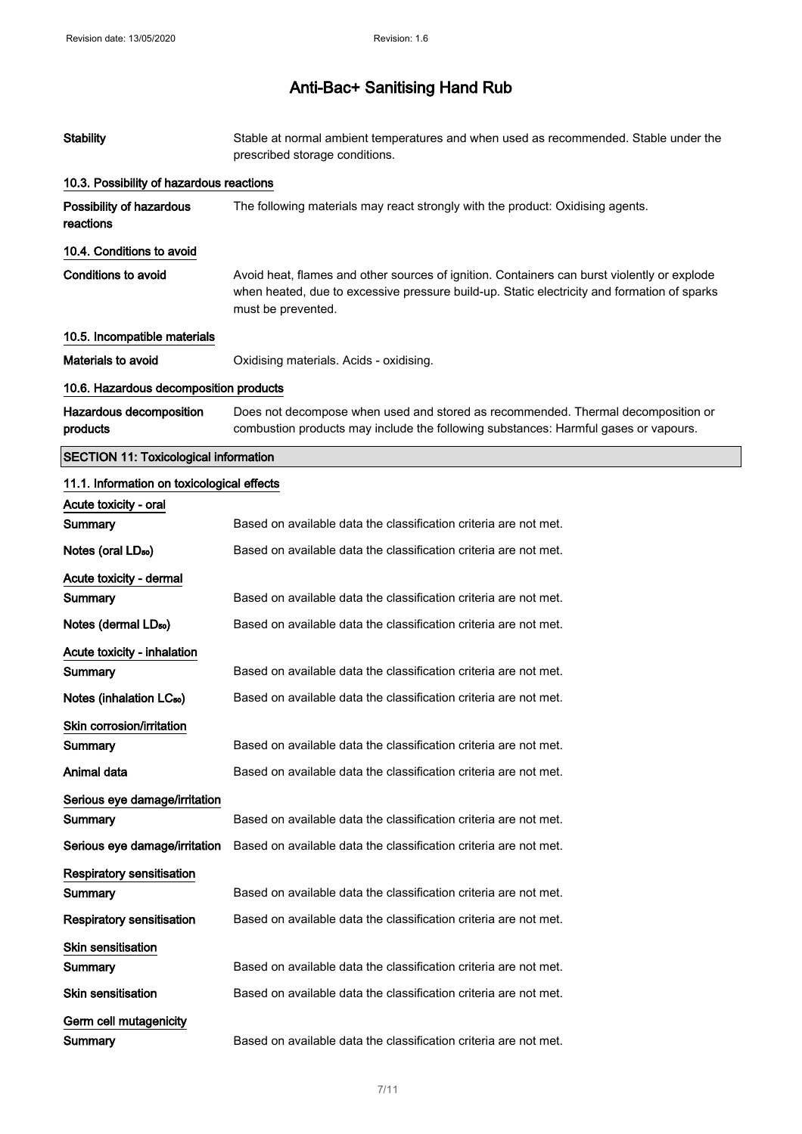| <b>Stability</b>                             | Stable at normal ambient temperatures and when used as recommended. Stable under the<br>prescribed storage conditions.                                                                                           |
|----------------------------------------------|------------------------------------------------------------------------------------------------------------------------------------------------------------------------------------------------------------------|
| 10.3. Possibility of hazardous reactions     |                                                                                                                                                                                                                  |
| Possibility of hazardous<br>reactions        | The following materials may react strongly with the product: Oxidising agents.                                                                                                                                   |
| 10.4. Conditions to avoid                    |                                                                                                                                                                                                                  |
| <b>Conditions to avoid</b>                   | Avoid heat, flames and other sources of ignition. Containers can burst violently or explode<br>when heated, due to excessive pressure build-up. Static electricity and formation of sparks<br>must be prevented. |
| 10.5. Incompatible materials                 |                                                                                                                                                                                                                  |
| Materials to avoid                           | Oxidising materials. Acids - oxidising.                                                                                                                                                                          |
| 10.6. Hazardous decomposition products       |                                                                                                                                                                                                                  |
| Hazardous decomposition<br>products          | Does not decompose when used and stored as recommended. Thermal decomposition or<br>combustion products may include the following substances: Harmful gases or vapours.                                          |
| <b>SECTION 11: Toxicological information</b> |                                                                                                                                                                                                                  |
| 11.1. Information on toxicological effects   |                                                                                                                                                                                                                  |
| Acute toxicity - oral                        |                                                                                                                                                                                                                  |
| Summary                                      | Based on available data the classification criteria are not met.                                                                                                                                                 |
| Notes (oral LD <sub>50</sub> )               | Based on available data the classification criteria are not met.                                                                                                                                                 |
| Acute toxicity - dermal                      |                                                                                                                                                                                                                  |
| Summary                                      | Based on available data the classification criteria are not met.                                                                                                                                                 |
| Notes (dermal LD <sub>50</sub> )             | Based on available data the classification criteria are not met.                                                                                                                                                 |
| <b>Acute toxicity - inhalation</b>           |                                                                                                                                                                                                                  |
| Summary                                      | Based on available data the classification criteria are not met.                                                                                                                                                 |
| Notes (inhalation LC <sub>50</sub> )         | Based on available data the classification criteria are not met.                                                                                                                                                 |
| Skin corrosion/irritation                    |                                                                                                                                                                                                                  |
| Summary                                      | Based on available data the classification criteria are not met.                                                                                                                                                 |
| Animal data                                  | Based on available data the classification criteria are not met.                                                                                                                                                 |
| Serious eye damage/irritation                |                                                                                                                                                                                                                  |
| Summary                                      | Based on available data the classification criteria are not met.                                                                                                                                                 |
| Serious eye damage/irritation                | Based on available data the classification criteria are not met.                                                                                                                                                 |
| <b>Respiratory sensitisation</b>             |                                                                                                                                                                                                                  |
| Summary                                      | Based on available data the classification criteria are not met.                                                                                                                                                 |
| <b>Respiratory sensitisation</b>             | Based on available data the classification criteria are not met.                                                                                                                                                 |
| Skin sensitisation                           |                                                                                                                                                                                                                  |
| Summary                                      | Based on available data the classification criteria are not met.                                                                                                                                                 |
| <b>Skin sensitisation</b>                    | Based on available data the classification criteria are not met.                                                                                                                                                 |
| Germ cell mutagenicity                       |                                                                                                                                                                                                                  |
| Summary                                      | Based on available data the classification criteria are not met.                                                                                                                                                 |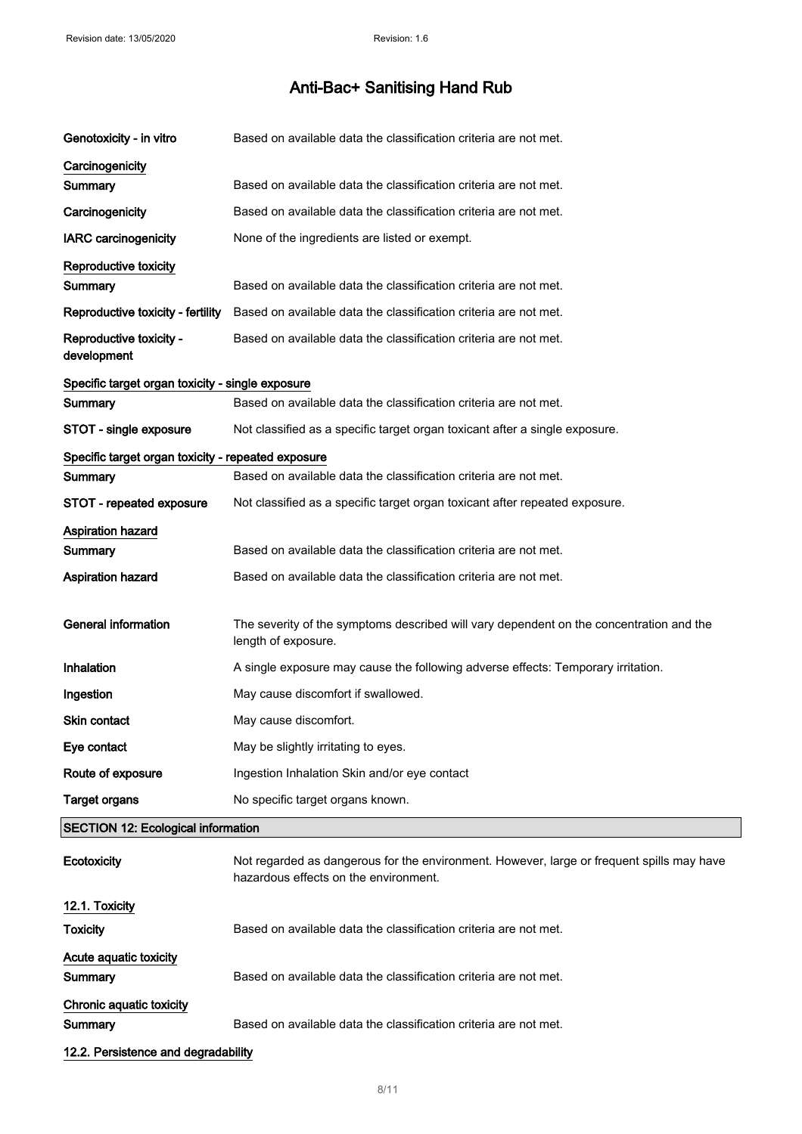| Genotoxicity - in vitro                            | Based on available data the classification criteria are not met.                                                                   |  |
|----------------------------------------------------|------------------------------------------------------------------------------------------------------------------------------------|--|
| Carcinogenicity<br>Summary                         | Based on available data the classification criteria are not met.                                                                   |  |
| Carcinogenicity                                    | Based on available data the classification criteria are not met.                                                                   |  |
| <b>IARC carcinogenicity</b>                        | None of the ingredients are listed or exempt.                                                                                      |  |
|                                                    |                                                                                                                                    |  |
| Reproductive toxicity<br>Summary                   | Based on available data the classification criteria are not met.                                                                   |  |
| Reproductive toxicity - fertility                  | Based on available data the classification criteria are not met.                                                                   |  |
| Reproductive toxicity -<br>development             | Based on available data the classification criteria are not met.                                                                   |  |
| Specific target organ toxicity - single exposure   |                                                                                                                                    |  |
| Summary                                            | Based on available data the classification criteria are not met.                                                                   |  |
| STOT - single exposure                             | Not classified as a specific target organ toxicant after a single exposure.                                                        |  |
| Specific target organ toxicity - repeated exposure |                                                                                                                                    |  |
| Summary                                            | Based on available data the classification criteria are not met.                                                                   |  |
| STOT - repeated exposure                           | Not classified as a specific target organ toxicant after repeated exposure.                                                        |  |
| Aspiration hazard<br>Summary                       | Based on available data the classification criteria are not met.                                                                   |  |
| <b>Aspiration hazard</b>                           | Based on available data the classification criteria are not met.                                                                   |  |
| <b>General information</b>                         | The severity of the symptoms described will vary dependent on the concentration and the<br>length of exposure.                     |  |
| Inhalation                                         | A single exposure may cause the following adverse effects: Temporary irritation.                                                   |  |
| Ingestion                                          | May cause discomfort if swallowed.                                                                                                 |  |
| <b>Skin contact</b>                                | May cause discomfort.                                                                                                              |  |
| Eye contact                                        | May be slightly irritating to eyes.                                                                                                |  |
| Route of exposure                                  | Ingestion Inhalation Skin and/or eye contact                                                                                       |  |
| <b>Target organs</b>                               | No specific target organs known.                                                                                                   |  |
| <b>SECTION 12: Ecological information</b>          |                                                                                                                                    |  |
| Ecotoxicity                                        | Not regarded as dangerous for the environment. However, large or frequent spills may have<br>hazardous effects on the environment. |  |
| 12.1. Toxicity                                     |                                                                                                                                    |  |
| Toxicity                                           | Based on available data the classification criteria are not met.                                                                   |  |
| Acute aquatic toxicity<br>Summary                  | Based on available data the classification criteria are not met.                                                                   |  |
| Chronic aquatic toxicity<br>Summary                | Based on available data the classification criteria are not met.                                                                   |  |
| 12.2. Persistence and degradability                |                                                                                                                                    |  |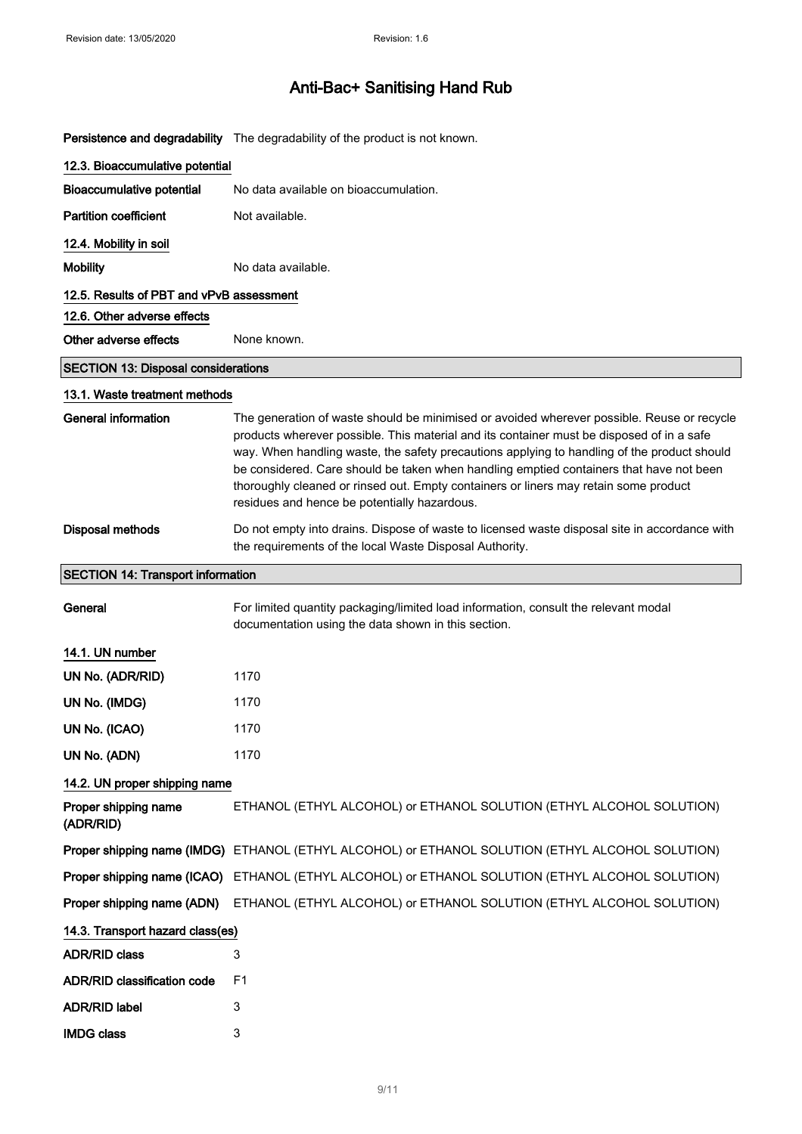Persistence and degradability The degradability of the product is not known.

| 12.3. Bioaccumulative potential            |                                                                                                                                                                                                                                                                                                                                                                                                                                                                                                                           |
|--------------------------------------------|---------------------------------------------------------------------------------------------------------------------------------------------------------------------------------------------------------------------------------------------------------------------------------------------------------------------------------------------------------------------------------------------------------------------------------------------------------------------------------------------------------------------------|
| <b>Bioaccumulative potential</b>           | No data available on bioaccumulation.                                                                                                                                                                                                                                                                                                                                                                                                                                                                                     |
| <b>Partition coefficient</b>               | Not available.                                                                                                                                                                                                                                                                                                                                                                                                                                                                                                            |
| 12.4. Mobility in soil                     |                                                                                                                                                                                                                                                                                                                                                                                                                                                                                                                           |
| <b>Mobility</b>                            | No data available.                                                                                                                                                                                                                                                                                                                                                                                                                                                                                                        |
| 12.5. Results of PBT and vPvB assessment   |                                                                                                                                                                                                                                                                                                                                                                                                                                                                                                                           |
| 12.6. Other adverse effects                |                                                                                                                                                                                                                                                                                                                                                                                                                                                                                                                           |
| Other adverse effects                      | None known.                                                                                                                                                                                                                                                                                                                                                                                                                                                                                                               |
| <b>SECTION 13: Disposal considerations</b> |                                                                                                                                                                                                                                                                                                                                                                                                                                                                                                                           |
| 13.1. Waste treatment methods              |                                                                                                                                                                                                                                                                                                                                                                                                                                                                                                                           |
| <b>General information</b>                 | The generation of waste should be minimised or avoided wherever possible. Reuse or recycle<br>products wherever possible. This material and its container must be disposed of in a safe<br>way. When handling waste, the safety precautions applying to handling of the product should<br>be considered. Care should be taken when handling emptied containers that have not been<br>thoroughly cleaned or rinsed out. Empty containers or liners may retain some product<br>residues and hence be potentially hazardous. |
| <b>Disposal methods</b>                    | Do not empty into drains. Dispose of waste to licensed waste disposal site in accordance with<br>the requirements of the local Waste Disposal Authority.                                                                                                                                                                                                                                                                                                                                                                  |
| <b>SECTION 14: Transport information</b>   |                                                                                                                                                                                                                                                                                                                                                                                                                                                                                                                           |
| General                                    | For limited quantity packaging/limited load information, consult the relevant modal<br>documentation using the data shown in this section.                                                                                                                                                                                                                                                                                                                                                                                |
| 14.1. UN number                            |                                                                                                                                                                                                                                                                                                                                                                                                                                                                                                                           |
| UN No. (ADR/RID)                           | 1170                                                                                                                                                                                                                                                                                                                                                                                                                                                                                                                      |
| UN No. (IMDG)                              | 1170                                                                                                                                                                                                                                                                                                                                                                                                                                                                                                                      |
| UN No. (ICAO)                              | 1170                                                                                                                                                                                                                                                                                                                                                                                                                                                                                                                      |
| UN No. (ADN)                               | 1170                                                                                                                                                                                                                                                                                                                                                                                                                                                                                                                      |
| 14.2. UN proper shipping name              |                                                                                                                                                                                                                                                                                                                                                                                                                                                                                                                           |
| Proper shipping name<br>(ADR/RID)          | ETHANOL (ETHYL ALCOHOL) or ETHANOL SOLUTION (ETHYL ALCOHOL SOLUTION)                                                                                                                                                                                                                                                                                                                                                                                                                                                      |
|                                            | Proper shipping name (IMDG) ETHANOL (ETHYL ALCOHOL) or ETHANOL SOLUTION (ETHYL ALCOHOL SOLUTION)                                                                                                                                                                                                                                                                                                                                                                                                                          |
|                                            | Proper shipping name (ICAO) ETHANOL (ETHYL ALCOHOL) or ETHANOL SOLUTION (ETHYL ALCOHOL SOLUTION)                                                                                                                                                                                                                                                                                                                                                                                                                          |
| Proper shipping name (ADN)                 | ETHANOL (ETHYL ALCOHOL) or ETHANOL SOLUTION (ETHYL ALCOHOL SOLUTION)                                                                                                                                                                                                                                                                                                                                                                                                                                                      |
| 14.3. Transport hazard class(es)           |                                                                                                                                                                                                                                                                                                                                                                                                                                                                                                                           |
| <b>ADR/RID class</b>                       | 3                                                                                                                                                                                                                                                                                                                                                                                                                                                                                                                         |
| <b>ADR/RID classification code</b>         | F1                                                                                                                                                                                                                                                                                                                                                                                                                                                                                                                        |
| <b>ADR/RID label</b>                       | 3                                                                                                                                                                                                                                                                                                                                                                                                                                                                                                                         |
| <b>IMDG class</b>                          | 3                                                                                                                                                                                                                                                                                                                                                                                                                                                                                                                         |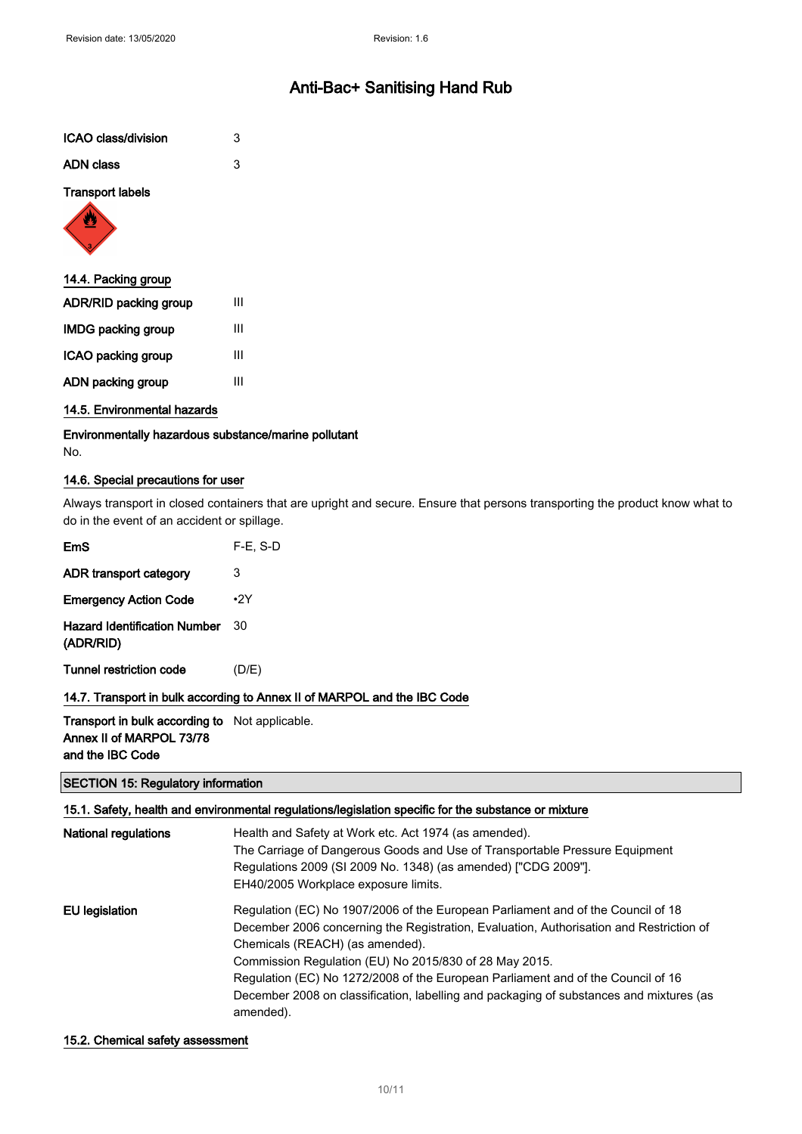| ICAO class/division     | 3 |
|-------------------------|---|
| <b>ADN</b> class        | 3 |
| <b>Transport labels</b> |   |
| 14.4. Packing group     |   |
| ADR/RID packing group   |   |

| <b>IMDG packing group</b> | Ш |
|---------------------------|---|
| ICAO packing group        | Ш |
| ADN packing group         | Ш |

#### 14.5. Environmental hazards

Environmentally hazardous substance/marine pollutant No.

#### 14.6. Special precautions for user

Always transport in closed containers that are upright and secure. Ensure that persons transporting the product know what to do in the event of an accident or spillage.

| EmS                                              | $F-E$ , S-D |
|--------------------------------------------------|-------------|
| ADR transport category                           | 3           |
| <b>Emergency Action Code</b>                     | $\cdot$ 2Y  |
| <b>Hazard Identification Number</b><br>(ADR/RID) | 30          |
| <b>Tunnel restriction code</b>                   | (D/E)       |
|                                                  |             |

#### 14.7. Transport in bulk according to Annex II of MARPOL and the IBC Code

Transport in bulk according to Not applicable. Annex II of MARPOL 73/78 and the IBC Code

#### SECTION 15: Regulatory information

| 15.1. Safety, health and environmental regulations/legislation specific for the substance or mixture |                                                                                                      |
|------------------------------------------------------------------------------------------------------|------------------------------------------------------------------------------------------------------|
| National regulations                                                                                 | Health and Safety at Work etc. Act 1974 (as amended).                                                |
|                                                                                                      | The Carriage of Dangerous Goods and Use of Transportable Pressure Equipment                          |
|                                                                                                      | Regulations 2009 (SI 2009 No. 1348) (as amended) ["CDG 2009"].                                       |
|                                                                                                      | EH40/2005 Workplace exposure limits.                                                                 |
| EU legislation                                                                                       | Regulation (EC) No 1907/2006 of the European Parliament and of the Council of 18                     |
|                                                                                                      | December 2006 concerning the Registration, Evaluation, Authorisation and Restriction of              |
|                                                                                                      | Chemicals (REACH) (as amended).                                                                      |
|                                                                                                      | Commission Regulation (EU) No 2015/830 of 28 May 2015.                                               |
|                                                                                                      | Regulation (EC) No 1272/2008 of the European Parliament and of the Council of 16                     |
|                                                                                                      | December 2008 on classification, labelling and packaging of substances and mixtures (as<br>amended). |

#### 15.2. Chemical safety assessment